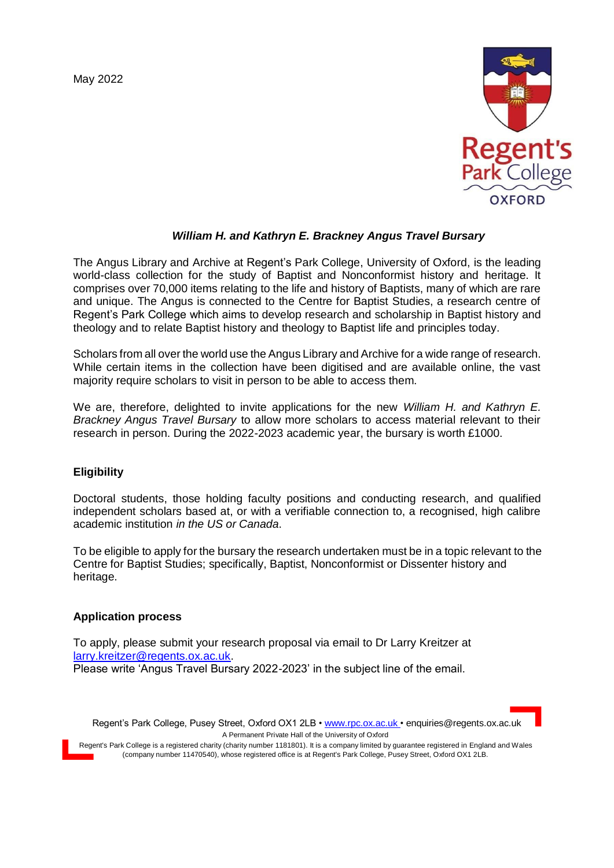May 2022



# *William H. and Kathryn E. Brackney Angus Travel Bursary*

The Angus Library and Archive at Regent's Park College, University of Oxford, is the leading world-class collection for the study of Baptist and Nonconformist history and heritage. It comprises over 70,000 items relating to the life and history of Baptists, many of which are rare and unique. The Angus is connected to the Centre for Baptist Studies, a research centre of Regent's Park College which aims to develop research and scholarship in Baptist history and theology and to relate Baptist history and theology to Baptist life and principles today.

Scholars from all over the world use the Angus Library and Archive for a wide range of research. While certain items in the collection have been digitised and are available online, the vast majority require scholars to visit in person to be able to access them.

We are, therefore, delighted to invite applications for the new *William H. and Kathryn E. Brackney Angus Travel Bursary* to allow more scholars to access material relevant to their research in person. During the 2022-2023 academic year, the bursary is worth £1000.

#### **Eligibility**

Doctoral students, those holding faculty positions and conducting research, and qualified independent scholars based at, or with a verifiable connection to, a recognised, high calibre academic institution *in the US or Canada*.

To be eligible to apply for the bursary the research undertaken must be in a topic relevant to the Centre for Baptist Studies; specifically, Baptist, Nonconformist or Dissenter history and heritage.

#### **Application process**

To apply, please submit your research proposal via email to Dr Larry Kreitzer at [larry.kreitzer@regents.ox.ac.uk.](mailto:larry.kreitzer@regents.ox.ac.uk) Please write 'Angus Travel Bursary 2022-2023' in the subject line of the email.